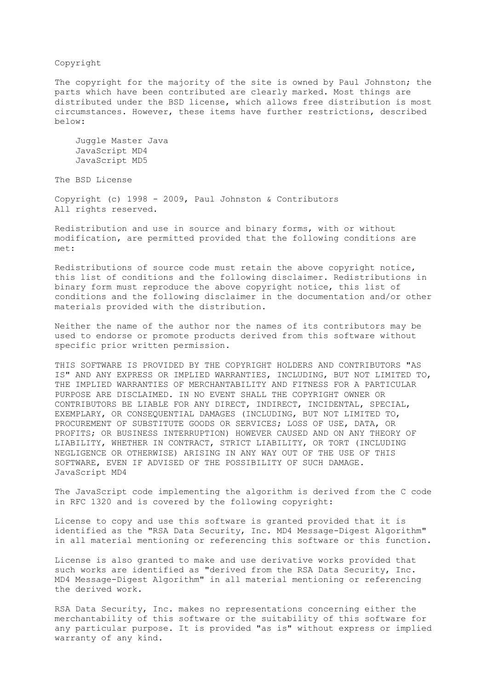## Copyright

The copyright for the majority of the site is owned by Paul Johnston; the parts which have been contributed are clearly marked. Most things are distributed under the BSD license, which allows free distribution is most circumstances. However, these items have further restrictions, described below:

 Juggle Master Java JavaScript MD4 JavaScript MD5

The BSD License

Copyright (c) 1998 - 2009, Paul Johnston & Contributors All rights reserved.

Redistribution and use in source and binary forms, with or without modification, are permitted provided that the following conditions are met:

Redistributions of source code must retain the above copyright notice, this list of conditions and the following disclaimer. Redistributions in binary form must reproduce the above copyright notice, this list of conditions and the following disclaimer in the documentation and/or other materials provided with the distribution.

Neither the name of the author nor the names of its contributors may be used to endorse or promote products derived from this software without specific prior written permission.

THIS SOFTWARE IS PROVIDED BY THE COPYRIGHT HOLDERS AND CONTRIBUTORS "AS IS" AND ANY EXPRESS OR IMPLIED WARRANTIES, INCLUDING, BUT NOT LIMITED TO, THE IMPLIED WARRANTIES OF MERCHANTABILITY AND FITNESS FOR A PARTICULAR PURPOSE ARE DISCLAIMED. IN NO EVENT SHALL THE COPYRIGHT OWNER OR CONTRIBUTORS BE LIABLE FOR ANY DIRECT, INDIRECT, INCIDENTAL, SPECIAL, EXEMPLARY, OR CONSEQUENTIAL DAMAGES (INCLUDING, BUT NOT LIMITED TO, PROCUREMENT OF SUBSTITUTE GOODS OR SERVICES; LOSS OF USE, DATA, OR PROFITS; OR BUSINESS INTERRUPTION) HOWEVER CAUSED AND ON ANY THEORY OF LIABILITY, WHETHER IN CONTRACT, STRICT LIABILITY, OR TORT (INCLUDING NEGLIGENCE OR OTHERWISE) ARISING IN ANY WAY OUT OF THE USE OF THIS SOFTWARE, EVEN IF ADVISED OF THE POSSIBILITY OF SUCH DAMAGE. JavaScript MD4

The JavaScript code implementing the algorithm is derived from the C code in RFC 1320 and is covered by the following copyright:

License to copy and use this software is granted provided that it is identified as the "RSA Data Security, Inc. MD4 Message-Digest Algorithm" in all material mentioning or referencing this software or this function.

License is also granted to make and use derivative works provided that such works are identified as "derived from the RSA Data Security, Inc. MD4 Message-Digest Algorithm" in all material mentioning or referencing the derived work.

RSA Data Security, Inc. makes no representations concerning either the merchantability of this software or the suitability of this software for any particular purpose. It is provided "as is" without express or implied warranty of any kind.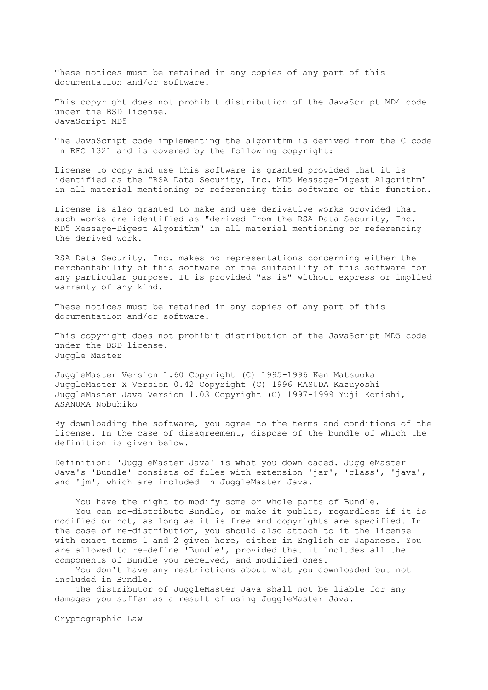These notices must be retained in any copies of any part of this documentation and/or software.

This copyright does not prohibit distribution of the JavaScript MD4 code under the BSD license. JavaScript MD5

The JavaScript code implementing the algorithm is derived from the C code in RFC 1321 and is covered by the following copyright:

License to copy and use this software is granted provided that it is identified as the "RSA Data Security, Inc. MD5 Message-Digest Algorithm" in all material mentioning or referencing this software or this function.

License is also granted to make and use derivative works provided that such works are identified as "derived from the RSA Data Security, Inc. MD5 Message-Digest Algorithm" in all material mentioning or referencing the derived work.

RSA Data Security, Inc. makes no representations concerning either the merchantability of this software or the suitability of this software for any particular purpose. It is provided "as is" without express or implied warranty of any kind.

These notices must be retained in any copies of any part of this documentation and/or software.

This copyright does not prohibit distribution of the JavaScript MD5 code under the BSD license. Juggle Master

JuggleMaster Version 1.60 Copyright (C) 1995-1996 Ken Matsuoka JuggleMaster X Version 0.42 Copyright (C) 1996 MASUDA Kazuyoshi JuggleMaster Java Version 1.03 Copyright (C) 1997-1999 Yuji Konishi, ASANUMA Nobuhiko

By downloading the software, you agree to the terms and conditions of the license. In the case of disagreement, dispose of the bundle of which the definition is given below.

Definition: 'JuggleMaster Java' is what you downloaded. JuggleMaster Java's 'Bundle' consists of files with extension 'jar', 'class', 'java', and 'jm', which are included in JuggleMaster Java.

 You have the right to modify some or whole parts of Bundle. You can re-distribute Bundle, or make it public, regardless if it is modified or not, as long as it is free and copyrights are specified. In the case of re-distribution, you should also attach to it the license with exact terms 1 and 2 given here, either in English or Japanese. You are allowed to re-define 'Bundle', provided that it includes all the components of Bundle you received, and modified ones.

 You don't have any restrictions about what you downloaded but not included in Bundle.

 The distributor of JuggleMaster Java shall not be liable for any damages you suffer as a result of using JuggleMaster Java.

Cryptographic Law